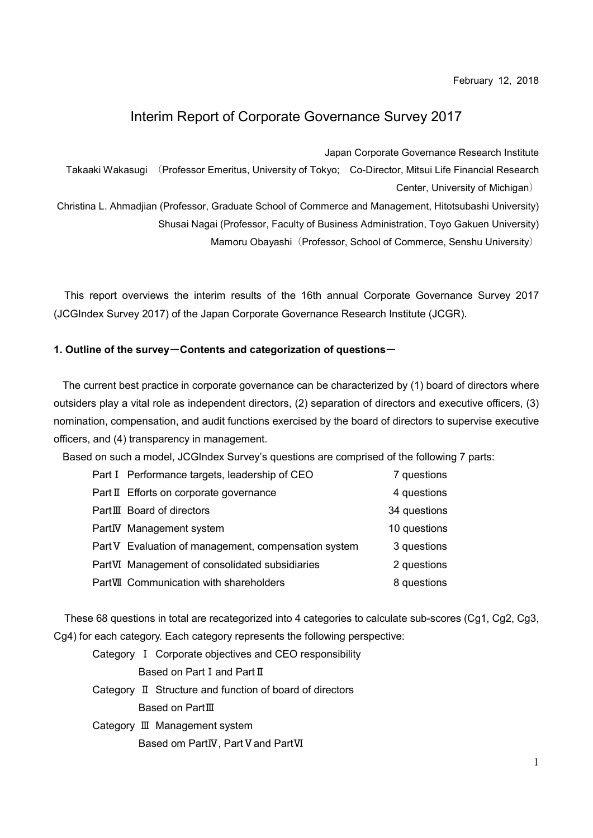February 12, 2018

# Interim Report of Corporate Governance Survey 2017

Japan Corporate Governance Research Institute

Takaaki Wakasugi (Professor Emeritus, University of Tokyo; Co-Director, Mitsui Life Financial Research Center, University of Michigan)

Christina L. Ahmadjian (Professor, Graduate School of Commerce and Management, Hitotsubashi University)

Shusai Nagai (Professor, Faculty of Business Administration, Toyo Gakuen University)

Mamoru Obayashi (Professor, School of Commerce, Senshu University)

This report overviews the interim results of the 16th annual Corporate Governance Survey 2017 (JCGIndex Survey 2017) of the Japan Corporate Governance Research Institute (JCGR).

#### 1. Outline of the survey-Contents and categorization of questions-

The current best practice in corporate governance can be characterized by (1) board of directors where outsiders play a vital role as independent directors, (2) separation of directors and executive officers, (3) nomination, compensation, and audit functions exercised by the board of directors to supervise executive officers, and (4) transparency in management.

Based on such a model, JCGIndex Survey's questions are comprised of the following 7 parts:

| Part I Performance targets, leadership of CEO        | 7 questions  |
|------------------------------------------------------|--------------|
| Part II Efforts on corporate governance              | 4 questions  |
| PartIII Board of directors                           | 34 questions |
| PartIV Management system                             | 10 questions |
| Part V Evaluation of management, compensation system | 3 questions  |
| PartVI Management of consolidated subsidiaries       | 2 questions  |
| PartVII Communication with shareholders              | 8 questions  |

These 68 questions in total are recategorized into 4 categories to calculate sub-scores (Cg1, Cg2, Cg3, Cg4) for each category. Each category represents the following perspective:

Category Ⅰ Corporate objectives and CEO responsibility Based on Part I and Part II Category Ⅱ Structure and function of board of directors Based on PartⅢ Category Ⅲ Management system Based om PartIV, Part V and PartVI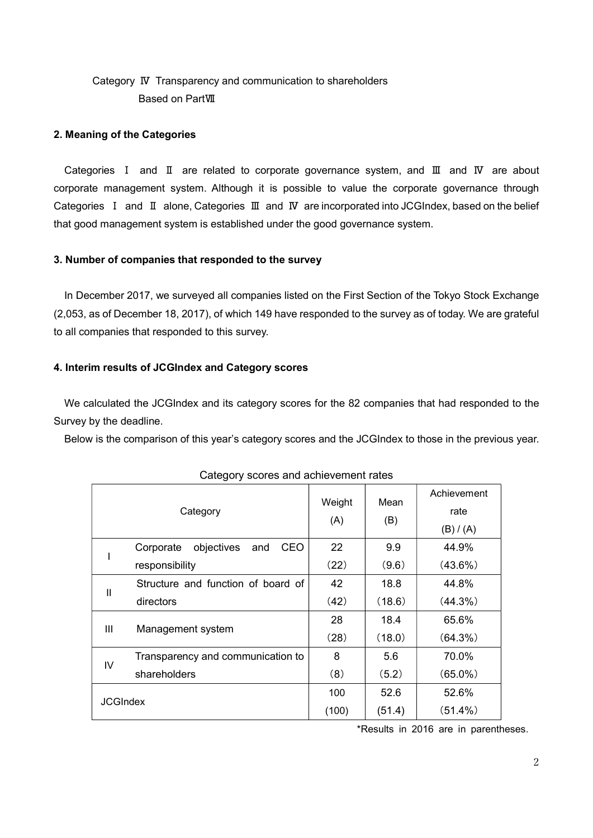# Category Ⅳ Transparency and communication to shareholders Based on PartⅦ

### 2. Meaning of the Categories

Categories Ⅰ and Ⅱ are related to corporate governance system, and Ⅲ and Ⅳ are about corporate management system. Although it is possible to value the corporate governance through Categories Ⅰ and Ⅱ alone, Categories Ⅲ and Ⅳ are incorporated into JCGIndex, based on the belief that good management system is established under the good governance system.

### 3. Number of companies that responded to the survey

In December 2017, we surveyed all companies listed on the First Section of the Tokyo Stock Exchange (2,053, as of December 18, 2017), of which 149 have responded to the survey as of today. We are grateful to all companies that responded to this survey.

### 4. Interim results of JCGIndex and Category scores

We calculated the JCGIndex and its category scores for the 82 companies that had responded to the Survey by the deadline.

Below is the comparison of this year's category scores and the JCGIndex to those in the previous year.

| Category        |                                              | Weight<br>(A) | Mean<br>(B) | Achievement |
|-----------------|----------------------------------------------|---------------|-------------|-------------|
|                 |                                              |               |             | rate        |
|                 |                                              |               |             | (B) / (A)   |
|                 | objectives<br><b>CEO</b><br>Corporate<br>and | 22            | 9.9         | 44.9%       |
|                 | responsibility                               | (22)          | (9.6)       | $(43.6\%)$  |
| $\mathbf{I}$    | Structure and function of board of           | 42            | 18.8        | 44.8%       |
|                 | directors                                    | (42)          | (18.6)      | $(44.3\%)$  |
| Ш               | Management system                            | 28            | 18.4        | 65.6%       |
|                 |                                              | (28)          | (18.0)      | $(64.3\%)$  |
| IV              | Transparency and communication to            | 8             | 5.6         | 70.0%       |
|                 | shareholders                                 | (8)           | (5.2)       | $(65.0\%)$  |
| <b>JCGIndex</b> |                                              | 100           | 52.6        | 52.6%       |
|                 |                                              | (100)         | (51.4)      | $(51.4\%)$  |

### Category scores and achievement rates

\*Results in 2016 are in parentheses.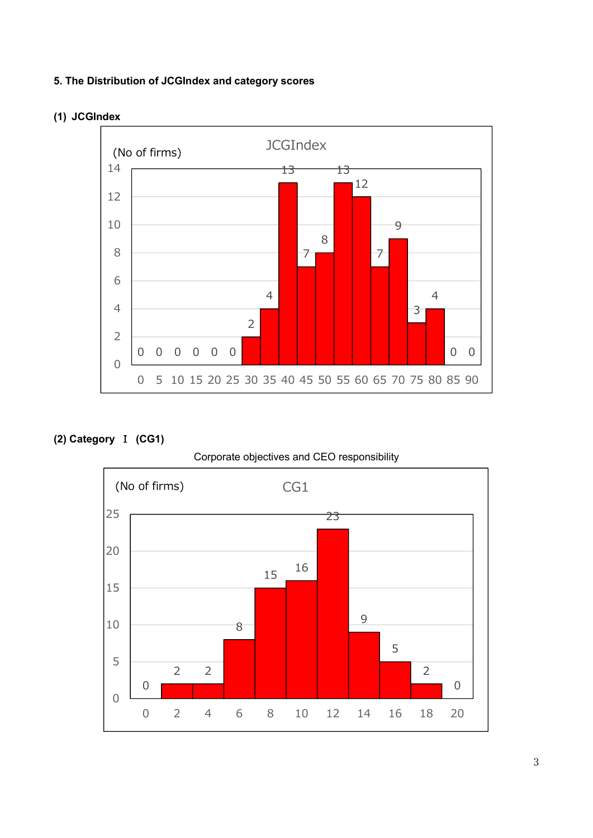## 5. The Distribution of JCGIndex and category scores



(1) JCGIndex

## (2) Category Ⅰ (CG1)

## Corporate objectives and CEO responsibility

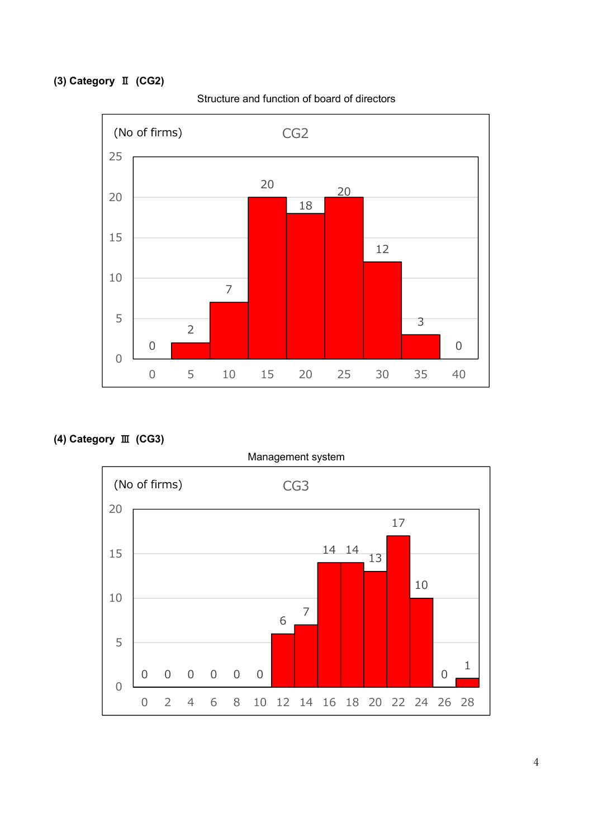# (3) Category Ⅱ (CG2)



Structure and function of board of directors

(4) Category Ⅲ (CG3)

Management system 0 0 0 0 0 0 6 - 1 - 1 - 1 - 1 - 1 3<br>
3<br>
25 30 35 40<br>
<br>
3<br>
0<br>
25 30 35 40<br>
<br>
17<br>
14 14 13<br>
1<br>
10  $\overline{0}$   $\overline{1}$   $\overline{1}$  $1 \mid \cdot \cdot \cdot \cdot$  $\overline{0}$   $\overline{0}$   $\overline{0}$   $\overline{0}$   $\overline{0}$   $\overline{0}$   $\overline{0}$   $\overline{0}$   $\overline{0}$   $\overline{0}$   $\overline{0}$   $\overline{0}$   $\overline{0}$   $\overline{0}$   $\overline{0}$   $\overline{0}$   $\overline{0}$   $\overline{0}$   $\overline{0}$   $\overline{0}$   $\overline{0}$   $\overline{0}$   $\overline{0}$   $\overline{0}$   $\overline{$  0 2 4 6 8 10 12 14 16 18 20 22 24 26 28 (No of firms) CG3